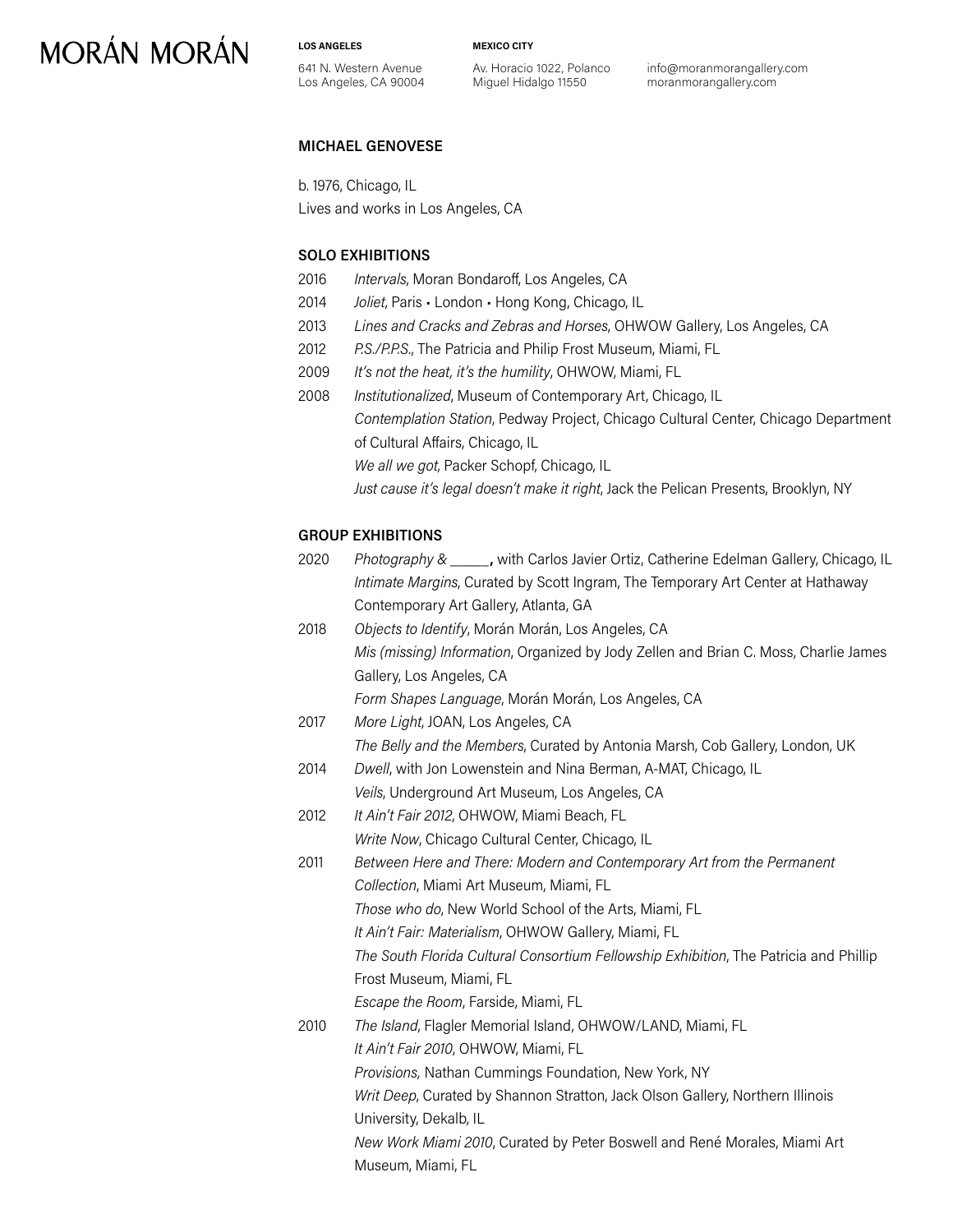# **MORÁN MORÁN**

**LOS ANGELES**

**MEXICO CITY**

641 N. Western Avenue Los Angeles, CA 90004 Av. Horacio 1022, Polanco Miguel Hidalgo 11550

info@moranmorangallery.com moranmorangallery.com

## **MICHAEL GENOVESE**

b. 1976, Chicago, IL

Lives and works in Los Angeles, CA

## **SOLO EXHIBITIONS**

- 2016 *Intervals*, Moran Bondaroff, Los Angeles, CA
- 2014 *Joliet*, Paris London Hong Kong, Chicago, IL
- 2013 *Lines and Cracks and Zebras and Horses*, OHWOW Gallery, Los Angeles, CA
- 2012 *P.S./P.P.S.*, The Patricia and Philip Frost Museum, Miami, FL
- 2009 *It's not the heat, it's the humility*, OHWOW, Miami, FL
- 2008 *Institutionalized*, Museum of Contemporary Art, Chicago, IL *Contemplation Station*, Pedway Project, Chicago Cultural Center, Chicago Department of Cultural Affairs, Chicago, IL

*We all we got*, Packer Schopf, Chicago, IL

*Just cause it's legal doesn't make it right*, Jack the Pelican Presents, Brooklyn, NY

## **GROUP EXHIBITIONS**

| 2020 | <i>Photography &amp; , with Carlos Javier Ortiz, Catherine Edelman Gallery, Chicago, IL</i> |
|------|---------------------------------------------------------------------------------------------|
|      | Intimate Margins, Curated by Scott Ingram, The Temporary Art Center at Hathaway             |
|      | Contemporary Art Gallery, Atlanta, GA                                                       |
| 2018 | Objects to Identify, Morán Morán, Los Angeles, CA                                           |

*Mis (missing) Information*, Organized by Jody Zellen and Brian C. Moss, Charlie James Gallery, Los Angeles, CA

*Form Shapes Language*, Morán Morán, Los Angeles, CA

2017 *More Light*, JOAN, Los Angeles, CA *The Belly and the Members*, Curated by Antonia Marsh, Cob Gallery, London, UK

- 2014 *Dwell*, with Jon Lowenstein and Nina Berman, A-MAT, Chicago, IL *Veils*, Underground Art Museum, Los Angeles, CA
- 2012 *It Ain't Fair 2012*, OHWOW, Miami Beach, FL

*Write Now*, Chicago Cultural Center, Chicago, IL

2011 *Between Here and There: Modern and Contemporary Art from the Permanent Collection*, Miami Art Museum, Miami, FL *Those who do*, New World School of the Arts, Miami, FL

*It Ain't Fair: Materialism*, OHWOW Gallery, Miami, FL

*The South Florida Cultural Consortium Fellowship Exhibition*, The Patricia and Phillip Frost Museum, Miami, FL

*Escape the Room*, Farside, Miami, FL

2010 *The Island*, Flagler Memorial Island, OHWOW/LAND, Miami, FL

*It Ain't Fair 2010*, OHWOW, Miami, FL

*Provisions,* Nathan Cummings Foundation, New York, NY

*Writ Deep*, Curated by Shannon Stratton, Jack Olson Gallery, Northern Illinois University, Dekalb, IL

*New Work Miami 2010*, Curated by Peter Boswell and René Morales, Miami Art Museum, Miami, FL